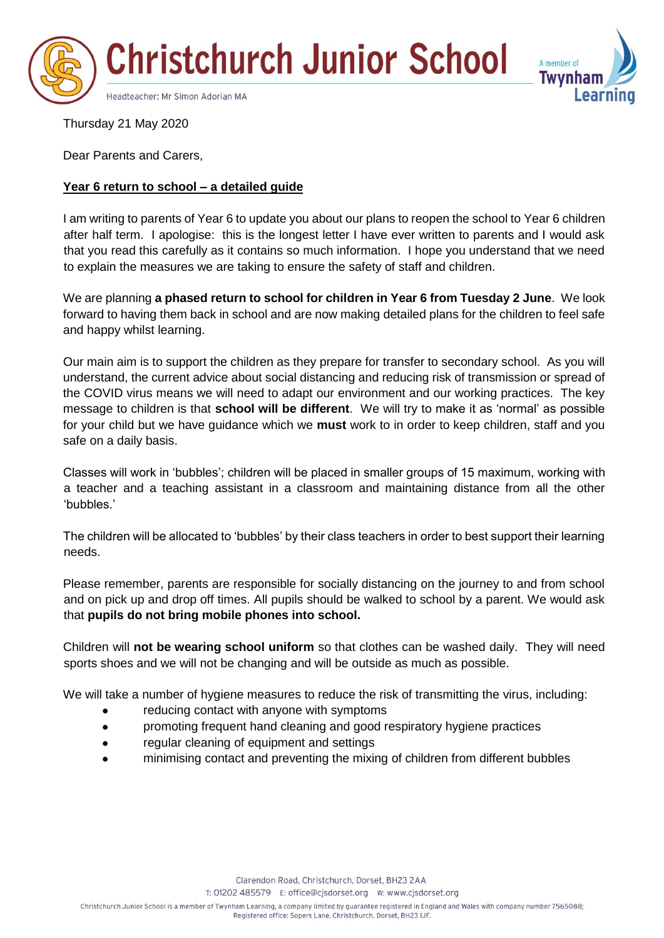



Thursday 21 May 2020

Dear Parents and Carers,

# **Year 6 return to school – a detailed guide**

I am writing to parents of Year 6 to update you about our plans to reopen the school to Year 6 children after half term. I apologise: this is the longest letter I have ever written to parents and I would ask that you read this carefully as it contains so much information. I hope you understand that we need to explain the measures we are taking to ensure the safety of staff and children.

We are planning **a phased return to school for children in Year 6 from Tuesday 2 June**. We look forward to having them back in school and are now making detailed plans for the children to feel safe and happy whilst learning.

Our main aim is to support the children as they prepare for transfer to secondary school. As you will understand, the current advice about social distancing and reducing risk of transmission or spread of the COVID virus means we will need to adapt our environment and our working practices. The key message to children is that **school will be different**. We will try to make it as 'normal' as possible for your child but we have guidance which we **must** work to in order to keep children, staff and you safe on a daily basis.

Classes will work in 'bubbles'; children will be placed in smaller groups of 15 maximum, working with a teacher and a teaching assistant in a classroom and maintaining distance from all the other 'bubbles.'

The children will be allocated to 'bubbles' by their class teachers in order to best support their learning needs.

Please remember, parents are responsible for socially distancing on the journey to and from school and on pick up and drop off times. All pupils should be walked to school by a parent. We would ask that **pupils do not bring mobile phones into school.** 

Children will **not be wearing school uniform** so that clothes can be washed daily. They will need sports shoes and we will not be changing and will be outside as much as possible.

We will take a number of hygiene measures to reduce the risk of transmitting the virus, including:

- reducing contact with anyone with symptoms
- promoting frequent hand cleaning and good respiratory hygiene practices
- regular cleaning of equipment and settings
- minimising contact and preventing the mixing of children from different bubbles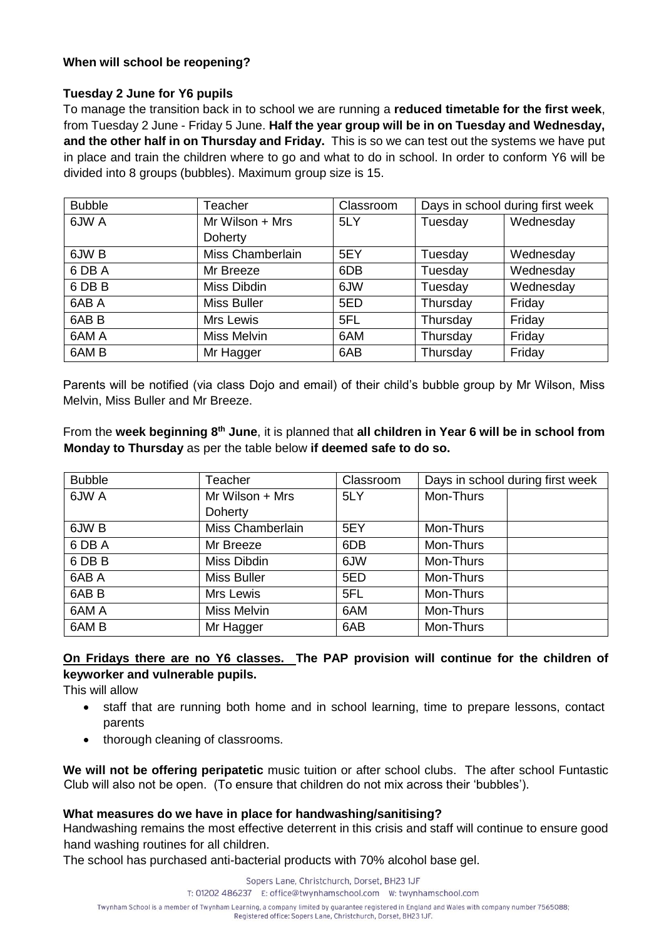# **When will school be reopening?**

# **Tuesday 2 June for Y6 pupils**

To manage the transition back in to school we are running a **reduced timetable for the first week**, from Tuesday 2 June - Friday 5 June. **Half the year group will be in on Tuesday and Wednesday, and the other half in on Thursday and Friday.** This is so we can test out the systems we have put in place and train the children where to go and what to do in school. In order to conform Y6 will be divided into 8 groups (bubbles). Maximum group size is 15.

| <b>Bubble</b>    | Teacher            | Classroom | Days in school during first week |           |
|------------------|--------------------|-----------|----------------------------------|-----------|
| 6JW A            | Mr Wilson + Mrs    | 5LY       | Tuesday                          | Wednesday |
|                  | Doherty            |           |                                  |           |
| 6JW B            | Miss Chamberlain   | 5EY       | Tuesday                          | Wednesday |
| 6 DB A           | Mr Breeze          | 6DB       | Tuesday                          | Wednesday |
| 6 DB B           | Miss Dibdin        | 6JW       | Tuesday                          | Wednesday |
| 6AB A            | <b>Miss Buller</b> | 5ED       | Thursday                         | Friday    |
| 6AB <sub>B</sub> | Mrs Lewis          | 5FL       | Thursday                         | Friday    |
| 6AM A            | Miss Melvin        | 6AM       | Thursday                         | Friday    |
| 6AM <sub>B</sub> | Mr Hagger          | 6AB       | Thursday                         | Friday    |

Parents will be notified (via class Dojo and email) of their child's bubble group by Mr Wilson, Miss Melvin, Miss Buller and Mr Breeze.

From the **week beginning 8th June**, it is planned that **all children in Year 6 will be in school from Monday to Thursday** as per the table below **if deemed safe to do so.**

| <b>Bubble</b>    | Teacher            | Classroom | Days in school during first week |  |
|------------------|--------------------|-----------|----------------------------------|--|
| 6JW A            | Mr Wilson + Mrs    | 5LY       | Mon-Thurs                        |  |
|                  | Doherty            |           |                                  |  |
| 6JW B            | Miss Chamberlain   | 5EY       | Mon-Thurs                        |  |
| 6 DB A           | Mr Breeze          | 6DB       | Mon-Thurs                        |  |
| 6 DB B           | Miss Dibdin        | 6JW       | Mon-Thurs                        |  |
| 6AB A            | <b>Miss Buller</b> | 5ED       | Mon-Thurs                        |  |
| 6AB <sub>B</sub> | Mrs Lewis          | 5FL       | Mon-Thurs                        |  |
| 6AM A            | Miss Melvin        | 6AM       | Mon-Thurs                        |  |
| 6AM <sub>B</sub> | Mr Hagger          | 6AB       | Mon-Thurs                        |  |

# **On Fridays there are no Y6 classes. The PAP provision will continue for the children of keyworker and vulnerable pupils.**

This will allow

- staff that are running both home and in school learning, time to prepare lessons, contact parents
- thorough cleaning of classrooms.

**We will not be offering peripatetic** music tuition or after school clubs. The after school Funtastic Club will also not be open. (To ensure that children do not mix across their 'bubbles').

# **What measures do we have in place for handwashing/sanitising?**

Handwashing remains the most effective deterrent in this crisis and staff will continue to ensure good hand washing routines for all children.

The school has purchased anti-bacterial products with 70% alcohol base gel.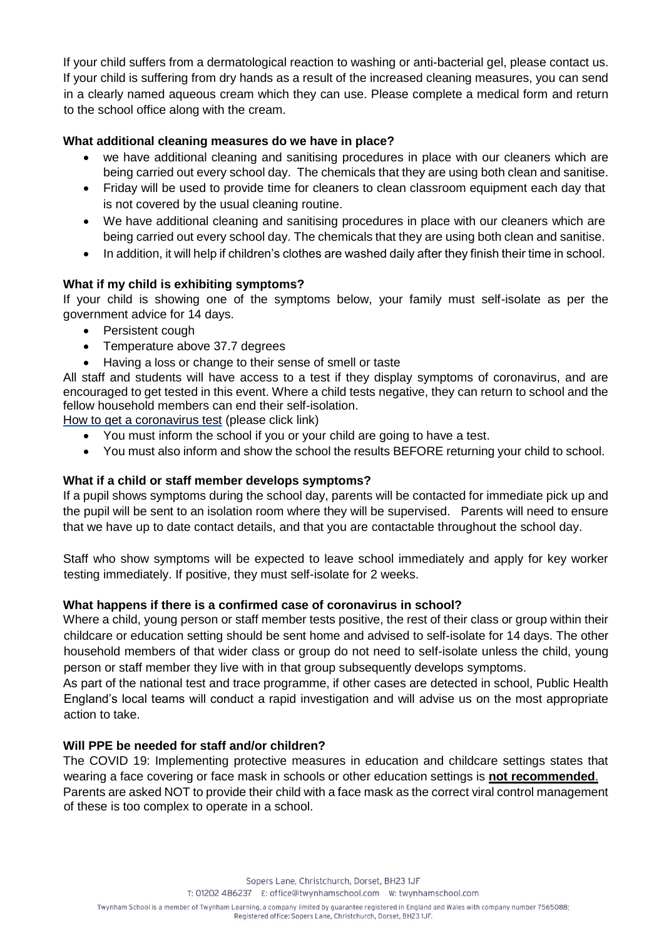If your child suffers from a dermatological reaction to washing or anti-bacterial gel, please contact us. If your child is suffering from dry hands as a result of the increased cleaning measures, you can send in a clearly named aqueous cream which they can use. Please complete a medical form and return to the school office along with the cream.

### **What additional cleaning measures do we have in place?**

- we have additional cleaning and sanitising procedures in place with our cleaners which are being carried out every school day. The chemicals that they are using both clean and sanitise.
- Friday will be used to provide time for cleaners to clean classroom equipment each day that is not covered by the usual cleaning routine.
- We have additional cleaning and sanitising procedures in place with our cleaners which are being carried out every school day. The chemicals that they are using both clean and sanitise.
- In addition, it will help if children's clothes are washed daily after they finish their time in school.

# **What if my child is exhibiting symptoms?**

If your child is showing one of the symptoms below, your family must self-isolate as per the government advice for 14 days.

- Persistent cough
- Temperature above 37.7 degrees
- Having a loss or change to their sense of smell or taste

All staff and students will have access to a test if they display symptoms of coronavirus, and are encouraged to get tested in this event. Where a child tests negative, they can return to school and the fellow household members can end their self-isolation.

How to get a coronavirus test (please click link)

- You must inform the school if you or your child are going to have a test.
- You must also inform and show the school the results BEFORE returning your child to school.

# **What if a child or staff member develops symptoms?**

If a pupil shows symptoms during the school day, parents will be contacted for immediate pick up and the pupil will be sent to an isolation room where they will be supervised. Parents will need to ensure that we have up to date contact details, and that you are contactable throughout the school day.

Staff who show symptoms will be expected to leave school immediately and apply for key worker testing immediately. If positive, they must self-isolate for 2 weeks.

#### **What happens if there is a confirmed case of coronavirus in school?**

Where a child, young person or staff member tests positive, the rest of their class or group within their childcare or education setting should be sent home and advised to self-isolate for 14 days. The other household members of that wider class or group do not need to self-isolate unless the child, young person or staff member they live with in that group subsequently develops symptoms.

As part of the national test and trace programme, if other cases are detected in school, Public Health England's local teams will conduct a rapid investigation and will advise us on the most appropriate action to take.

#### **Will PPE be needed for staff and/or children?**

The COVID 19: Implementing protective measures in education and childcare settings states that wearing a face covering or face mask in schools or other education settings is **not recommended**. Parents are asked NOT to provide their child with a face mask as the correct viral control management of these is too complex to operate in a school.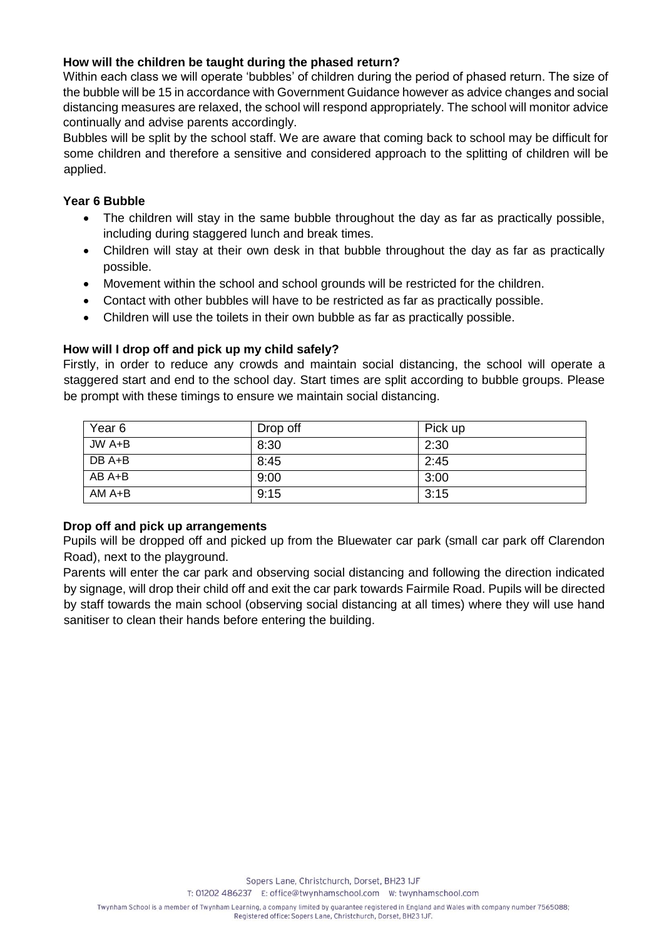# **How will the children be taught during the phased return?**

Within each class we will operate 'bubbles' of children during the period of phased return. The size of the bubble will be 15 in accordance with Government Guidance however as advice changes and social distancing measures are relaxed, the school will respond appropriately. The school will monitor advice continually and advise parents accordingly.

Bubbles will be split by the school staff. We are aware that coming back to school may be difficult for some children and therefore a sensitive and considered approach to the splitting of children will be applied.

### **Year 6 Bubble**

- The children will stay in the same bubble throughout the day as far as practically possible, including during staggered lunch and break times.
- Children will stay at their own desk in that bubble throughout the day as far as practically possible.
- Movement within the school and school grounds will be restricted for the children.
- Contact with other bubbles will have to be restricted as far as practically possible.
- Children will use the toilets in their own bubble as far as practically possible.

### **How will I drop off and pick up my child safely?**

Firstly, in order to reduce any crowds and maintain social distancing, the school will operate a staggered start and end to the school day. Start times are split according to bubble groups. Please be prompt with these timings to ensure we maintain social distancing.

| Year <sub>6</sub> | Drop off | Pick up |
|-------------------|----------|---------|
| JW A+B            | 8:30     | 2:30    |
| DB A+B            | 8:45     | 2:45    |
| $AB A+B$          | 9:00     | 3:00    |
| $AMA+B$           | 9:15     | 3:15    |

#### **Drop off and pick up arrangements**

Pupils will be dropped off and picked up from the Bluewater car park (small car park off Clarendon Road), next to the playground.

Parents will enter the car park and observing social distancing and following the direction indicated by signage, will drop their child off and exit the car park towards Fairmile Road. Pupils will be directed by staff towards the main school (observing social distancing at all times) where they will use hand sanitiser to clean their hands before entering the building.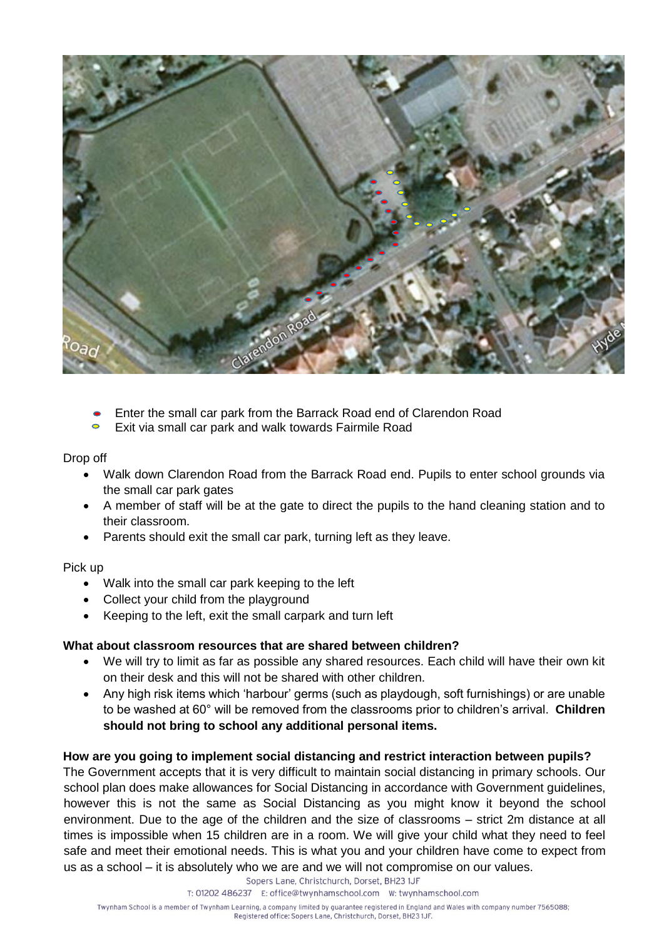

- Enter the small car park from the Barrack Road end of Clarendon Road
- $\bullet$ Exit via small car park and walk towards Fairmile Road

Drop off

- Walk down Clarendon Road from the Barrack Road end. Pupils to enter school grounds via the small car park gates
- A member of staff will be at the gate to direct the pupils to the hand cleaning station and to their classroom.
- Parents should exit the small car park, turning left as they leave.

#### Pick up

- Walk into the small car park keeping to the left
- Collect your child from the playground
- Keeping to the left, exit the small carpark and turn left

#### **What about classroom resources that are shared between children?**

- We will try to limit as far as possible any shared resources. Each child will have their own kit on their desk and this will not be shared with other children.
- Any high risk items which 'harbour' germs (such as playdough, soft furnishings) or are unable to be washed at 60° will be removed from the classrooms prior to children's arrival. **Children should not bring to school any additional personal items.**

#### **How are you going to implement social distancing and restrict interaction between pupils?**

The Government accepts that it is very difficult to maintain social distancing in primary schools. Our school plan does make allowances for Social Distancing in accordance with Government guidelines, however this is not the same as Social Distancing as you might know it beyond the school environment. Due to the age of the children and the size of classrooms – strict 2m distance at all times is impossible when 15 children are in a room. We will give your child what they need to feel safe and meet their emotional needs. This is what you and your children have come to expect from us as a school – it is absolutely who we are and we will not compromise on our values.

Sopers Lane, Christchurch, Dorset, BH23 1JF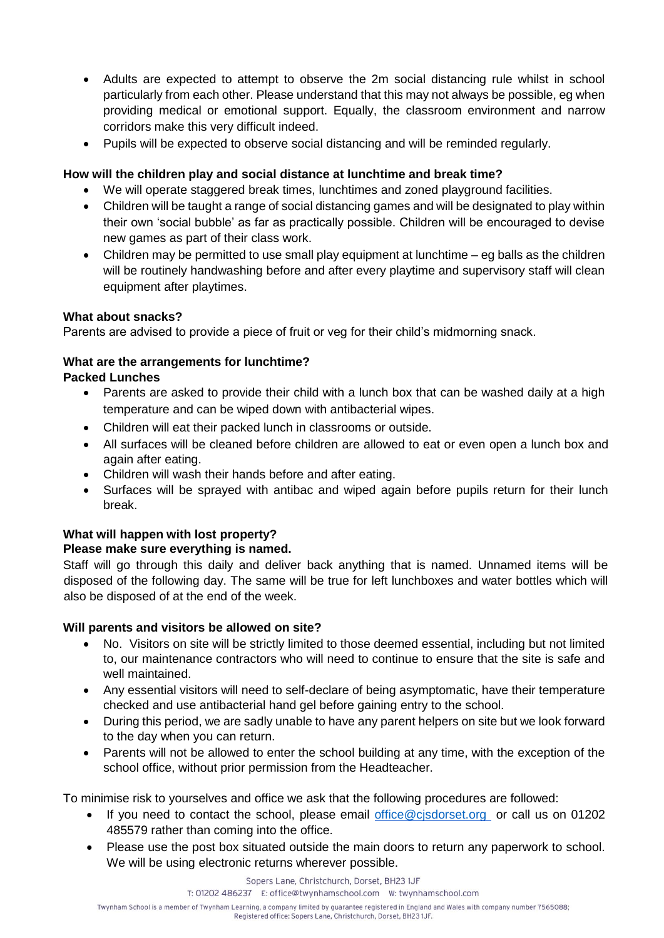- Adults are expected to attempt to observe the 2m social distancing rule whilst in school particularly from each other. Please understand that this may not always be possible, eg when providing medical or emotional support. Equally, the classroom environment and narrow corridors make this very difficult indeed.
- Pupils will be expected to observe social distancing and will be reminded regularly.

# **How will the children play and social distance at lunchtime and break time?**

- We will operate staggered break times, lunchtimes and zoned playground facilities.
- Children will be taught a range of social distancing games and will be designated to play within their own 'social bubble' as far as practically possible. Children will be encouraged to devise new games as part of their class work.
- Children may be permitted to use small play equipment at lunchtime eg balls as the children will be routinely handwashing before and after every playtime and supervisory staff will clean equipment after playtimes.

# **What about snacks?**

Parents are advised to provide a piece of fruit or veg for their child's midmorning snack.

# **What are the arrangements for lunchtime?**

### **Packed Lunches**

- Parents are asked to provide their child with a lunch box that can be washed daily at a high temperature and can be wiped down with antibacterial wipes.
- Children will eat their packed lunch in classrooms or outside.
- All surfaces will be cleaned before children are allowed to eat or even open a lunch box and again after eating.
- Children will wash their hands before and after eating.
- Surfaces will be sprayed with antibac and wiped again before pupils return for their lunch break.

# **What will happen with lost property?**

# **Please make sure everything is named.**

Staff will go through this daily and deliver back anything that is named. Unnamed items will be disposed of the following day. The same will be true for left lunchboxes and water bottles which will also be disposed of at the end of the week.

#### **Will parents and visitors be allowed on site?**

- No. Visitors on site will be strictly limited to those deemed essential, including but not limited to, our maintenance contractors who will need to continue to ensure that the site is safe and well maintained.
- Any essential visitors will need to self-declare of being asymptomatic, have their temperature checked and use antibacterial hand gel before gaining entry to the school.
- During this period, we are sadly unable to have any parent helpers on site but we look forward to the day when you can return.
- Parents will not be allowed to enter the school building at any time, with the exception of the school office, without prior permission from the Headteacher.

To minimise risk to yourselves and office we ask that the following procedures are followed:

- If you need to contact the school, please email office@cjsdorset.org or call us on 01202 485579 rather than coming into the office.
- Please use the post box situated outside the main doors to return any paperwork to school. We will be using electronic returns wherever possible.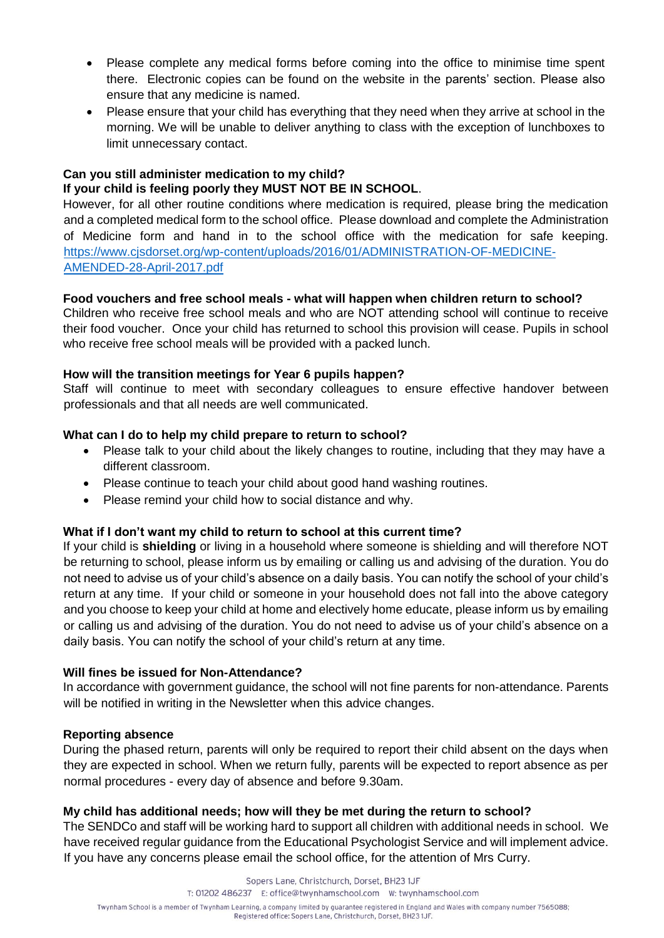- Please complete any medical forms before coming into the office to minimise time spent there. Electronic copies can be found on the website in the parents' section. Please also ensure that any medicine is named.
- Please ensure that your child has everything that they need when they arrive at school in the morning. We will be unable to deliver anything to class with the exception of lunchboxes to limit unnecessary contact.

#### **Can you still administer medication to my child? If your child is feeling poorly they MUST NOT BE IN SCHOOL**.

However, for all other routine conditions where medication is required, please bring the medication and a completed medical form to the school office. Please download and complete the Administration of Medicine form and hand in to the school office with the medication for safe keeping. https://www.cjsdorset.org/wp-content/uploads/2016/01/ADMINISTRATION-OF-MEDICINE-AMENDED-28-April-2017.pdf

### **Food vouchers and free school meals - what will happen when children return to school?**

Children who receive free school meals and who are NOT attending school will continue to receive their food voucher. Once your child has returned to school this provision will cease. Pupils in school who receive free school meals will be provided with a packed lunch.

### **How will the transition meetings for Year 6 pupils happen?**

Staff will continue to meet with secondary colleagues to ensure effective handover between professionals and that all needs are well communicated.

# **What can I do to help my child prepare to return to school?**

- Please talk to your child about the likely changes to routine, including that they may have a different classroom.
- Please continue to teach your child about good hand washing routines.
- Please remind your child how to social distance and why.

# **What if I don't want my child to return to school at this current time?**

If your child is **shielding** or living in a household where someone is shielding and will therefore NOT be returning to school, please inform us by emailing or calling us and advising of the duration. You do not need to advise us of your child's absence on a daily basis. You can notify the school of your child's return at any time. If your child or someone in your household does not fall into the above category and you choose to keep your child at home and electively home educate, please inform us by emailing or calling us and advising of the duration. You do not need to advise us of your child's absence on a daily basis. You can notify the school of your child's return at any time.

#### **Will fines be issued for Non-Attendance?**

In accordance with government guidance, the school will not fine parents for non-attendance. Parents will be notified in writing in the Newsletter when this advice changes.

#### **Reporting absence**

During the phased return, parents will only be required to report their child absent on the days when they are expected in school. When we return fully, parents will be expected to report absence as per normal procedures - every day of absence and before 9.30am.

#### **My child has additional needs; how will they be met during the return to school?**

The SENDCo and staff will be working hard to support all children with additional needs in school. We have received regular guidance from the Educational Psychologist Service and will implement advice. If you have any concerns please email the school office, for the attention of Mrs Curry.